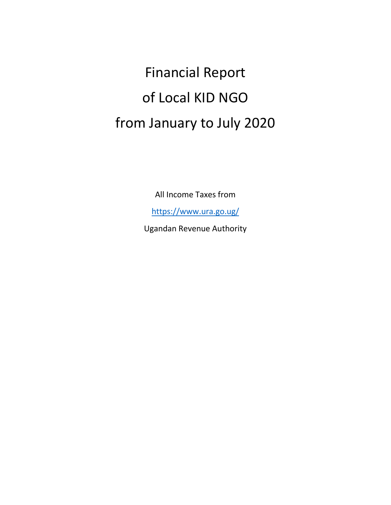Financial Report of Local KID NGO from January to July 2020

All Income Taxes from

<https://www.ura.go.ug/>

Ugandan Revenue Authority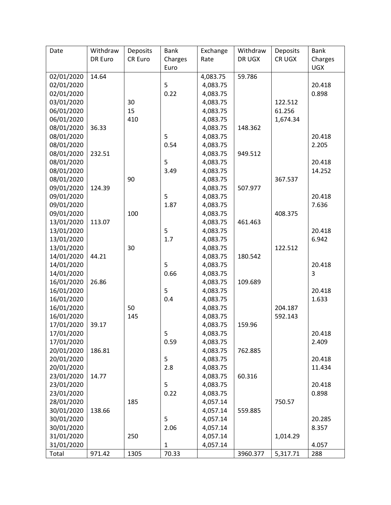| Date       | Withdraw | Deposits | <b>Bank</b>  | Exchange | Withdraw | Deposits | <b>Bank</b>    |
|------------|----------|----------|--------------|----------|----------|----------|----------------|
|            | DR Euro  | CR Euro  | Charges      | Rate     | DR UGX   | CR UGX   | Charges        |
|            |          |          | Euro         |          |          |          | <b>UGX</b>     |
| 02/01/2020 | 14.64    |          |              | 4,083.75 | 59.786   |          |                |
| 02/01/2020 |          |          | 5            | 4,083.75 |          |          | 20.418         |
| 02/01/2020 |          |          | 0.22         | 4,083.75 |          |          | 0.898          |
| 03/01/2020 |          | 30       |              | 4,083.75 |          | 122.512  |                |
| 06/01/2020 |          | 15       |              | 4,083.75 |          | 61.256   |                |
| 06/01/2020 |          | 410      |              | 4,083.75 |          | 1,674.34 |                |
| 08/01/2020 | 36.33    |          |              | 4,083.75 | 148.362  |          |                |
| 08/01/2020 |          |          | 5            | 4,083.75 |          |          | 20.418         |
| 08/01/2020 |          |          | 0.54         | 4,083.75 |          |          | 2.205          |
| 08/01/2020 | 232.51   |          |              | 4,083.75 | 949.512  |          |                |
| 08/01/2020 |          |          | 5            | 4,083.75 |          |          | 20.418         |
| 08/01/2020 |          |          | 3.49         | 4,083.75 |          |          | 14.252         |
| 08/01/2020 |          | 90       |              | 4,083.75 |          | 367.537  |                |
| 09/01/2020 | 124.39   |          |              | 4,083.75 | 507.977  |          |                |
| 09/01/2020 |          |          | 5            | 4,083.75 |          |          | 20.418         |
| 09/01/2020 |          |          | 1.87         | 4,083.75 |          |          | 7.636          |
| 09/01/2020 |          | 100      |              | 4,083.75 |          | 408.375  |                |
| 13/01/2020 | 113.07   |          |              | 4,083.75 | 461.463  |          |                |
| 13/01/2020 |          |          | 5            | 4,083.75 |          |          | 20.418         |
| 13/01/2020 |          |          | 1.7          | 4,083.75 |          |          | 6.942          |
| 13/01/2020 |          | 30       |              | 4,083.75 |          | 122.512  |                |
| 14/01/2020 | 44.21    |          |              | 4,083.75 | 180.542  |          |                |
| 14/01/2020 |          |          | 5            | 4,083.75 |          |          | 20.418         |
| 14/01/2020 |          |          | 0.66         | 4,083.75 |          |          | $\overline{3}$ |
| 16/01/2020 | 26.86    |          |              | 4,083.75 | 109.689  |          |                |
| 16/01/2020 |          |          | 5            | 4,083.75 |          |          | 20.418         |
| 16/01/2020 |          |          | 0.4          | 4,083.75 |          |          | 1.633          |
| 16/01/2020 |          | 50       |              | 4,083.75 |          | 204.187  |                |
| 16/01/2020 |          | 145      |              | 4,083.75 |          | 592.143  |                |
| 17/01/2020 | 39.17    |          |              | 4,083.75 | 159.96   |          |                |
| 17/01/2020 |          |          | 5            | 4,083.75 |          |          | 20.418         |
| 17/01/2020 |          |          | 0.59         | 4,083.75 |          |          | 2.409          |
| 20/01/2020 | 186.81   |          |              | 4,083.75 | 762.885  |          |                |
| 20/01/2020 |          |          | 5            | 4,083.75 |          |          | 20.418         |
| 20/01/2020 |          |          | 2.8          | 4,083.75 |          |          | 11.434         |
| 23/01/2020 | 14.77    |          |              | 4,083.75 | 60.316   |          |                |
| 23/01/2020 |          |          | 5            | 4,083.75 |          |          | 20.418         |
| 23/01/2020 |          |          | 0.22         | 4,083.75 |          |          | 0.898          |
| 28/01/2020 |          | 185      |              | 4,057.14 |          | 750.57   |                |
| 30/01/2020 | 138.66   |          |              | 4,057.14 | 559.885  |          |                |
| 30/01/2020 |          |          | 5            | 4,057.14 |          |          | 20.285         |
| 30/01/2020 |          |          | 2.06         | 4,057.14 |          |          | 8.357          |
| 31/01/2020 |          | 250      |              | 4,057.14 |          | 1,014.29 |                |
| 31/01/2020 |          |          | $\mathbf{1}$ | 4,057.14 |          |          | 4.057          |
| Total      | 971.42   | 1305     | 70.33        |          | 3960.377 | 5,317.71 | 288            |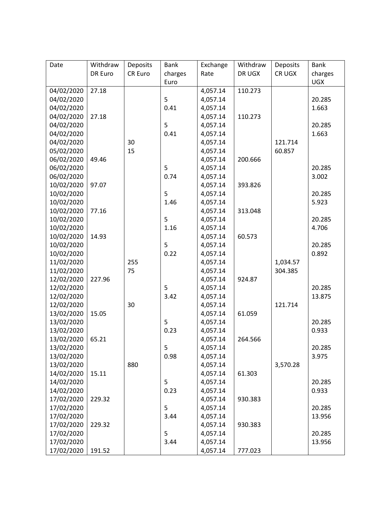| Date       | Withdraw | Deposits | <b>Bank</b> | Exchange | Withdraw | Deposits | <b>Bank</b> |
|------------|----------|----------|-------------|----------|----------|----------|-------------|
|            | DR Euro  | CR Euro  | charges     | Rate     | DR UGX   | CR UGX   | charges     |
|            |          |          | Euro        |          |          |          | <b>UGX</b>  |
| 04/02/2020 | 27.18    |          |             | 4,057.14 | 110.273  |          |             |
| 04/02/2020 |          |          | 5           | 4,057.14 |          |          | 20.285      |
| 04/02/2020 |          |          | 0.41        | 4,057.14 |          |          | 1.663       |
| 04/02/2020 | 27.18    |          |             | 4,057.14 | 110.273  |          |             |
| 04/02/2020 |          |          | 5           | 4,057.14 |          |          | 20.285      |
| 04/02/2020 |          |          | 0.41        | 4,057.14 |          |          | 1.663       |
| 04/02/2020 |          | 30       |             | 4,057.14 |          | 121.714  |             |
| 05/02/2020 |          | 15       |             | 4,057.14 |          | 60.857   |             |
| 06/02/2020 | 49.46    |          |             | 4,057.14 | 200.666  |          |             |
| 06/02/2020 |          |          | 5           | 4,057.14 |          |          | 20.285      |
| 06/02/2020 |          |          | 0.74        | 4,057.14 |          |          | 3.002       |
| 10/02/2020 | 97.07    |          |             | 4,057.14 | 393.826  |          |             |
| 10/02/2020 |          |          | 5           | 4,057.14 |          |          | 20.285      |
| 10/02/2020 |          |          | 1.46        | 4,057.14 |          |          | 5.923       |
| 10/02/2020 | 77.16    |          |             | 4,057.14 | 313.048  |          |             |
| 10/02/2020 |          |          | 5           | 4,057.14 |          |          | 20.285      |
| 10/02/2020 |          |          | 1.16        | 4,057.14 |          |          | 4.706       |
| 10/02/2020 | 14.93    |          |             | 4,057.14 | 60.573   |          |             |
| 10/02/2020 |          |          | 5           | 4,057.14 |          |          | 20.285      |
| 10/02/2020 |          |          | 0.22        | 4,057.14 |          |          | 0.892       |
| 11/02/2020 |          | 255      |             | 4,057.14 |          | 1,034.57 |             |
| 11/02/2020 |          | 75       |             | 4,057.14 |          | 304.385  |             |
| 12/02/2020 | 227.96   |          |             | 4,057.14 | 924.87   |          |             |
| 12/02/2020 |          |          | 5           | 4,057.14 |          |          | 20.285      |
| 12/02/2020 |          |          | 3.42        | 4,057.14 |          |          | 13.875      |
| 12/02/2020 |          | 30       |             | 4,057.14 |          | 121.714  |             |
| 13/02/2020 | 15.05    |          |             | 4,057.14 | 61.059   |          |             |
| 13/02/2020 |          |          | 5           | 4,057.14 |          |          | 20.285      |
| 13/02/2020 |          |          | 0.23        | 4,057.14 |          |          | 0.933       |
| 13/02/2020 | 65.21    |          |             | 4,057.14 | 264.566  |          |             |
| 13/02/2020 |          |          | 5           | 4,057.14 |          |          | 20.285      |
| 13/02/2020 |          |          | 0.98        | 4,057.14 |          |          | 3.975       |
| 13/02/2020 |          | 880      |             | 4,057.14 |          | 3,570.28 |             |
| 14/02/2020 | 15.11    |          |             | 4,057.14 | 61.303   |          |             |
| 14/02/2020 |          |          | 5           | 4,057.14 |          |          | 20.285      |
| 14/02/2020 |          |          | 0.23        | 4,057.14 |          |          | 0.933       |
| 17/02/2020 | 229.32   |          |             | 4,057.14 | 930.383  |          |             |
| 17/02/2020 |          |          | 5           | 4,057.14 |          |          | 20.285      |
| 17/02/2020 |          |          | 3.44        | 4,057.14 |          |          | 13.956      |
| 17/02/2020 | 229.32   |          |             | 4,057.14 | 930.383  |          |             |
| 17/02/2020 |          |          | 5           | 4,057.14 |          |          | 20.285      |
| 17/02/2020 |          |          | 3.44        | 4,057.14 |          |          | 13.956      |
| 17/02/2020 | 191.52   |          |             | 4,057.14 | 777.023  |          |             |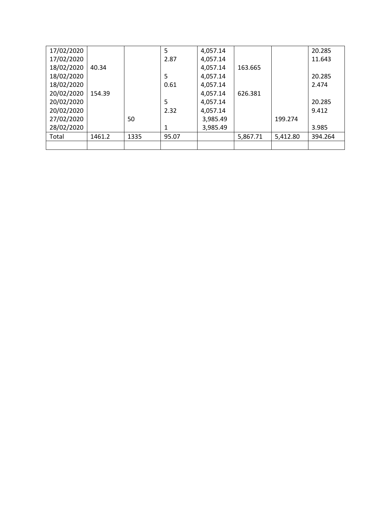| 17/02/2020 |        |      | 5     | 4,057.14 |          |          | 20.285  |
|------------|--------|------|-------|----------|----------|----------|---------|
| 17/02/2020 |        |      | 2.87  | 4,057.14 |          |          | 11.643  |
| 18/02/2020 | 40.34  |      |       | 4,057.14 | 163.665  |          |         |
| 18/02/2020 |        |      | 5     | 4,057.14 |          |          | 20.285  |
| 18/02/2020 |        |      | 0.61  | 4,057.14 |          |          | 2.474   |
| 20/02/2020 | 154.39 |      |       | 4,057.14 | 626.381  |          |         |
| 20/02/2020 |        |      | 5     | 4,057.14 |          |          | 20.285  |
| 20/02/2020 |        |      | 2.32  | 4,057.14 |          |          | 9.412   |
| 27/02/2020 |        | 50   |       | 3,985.49 |          | 199.274  |         |
| 28/02/2020 |        |      | 1     | 3,985.49 |          |          | 3.985   |
| Total      | 1461.2 | 1335 | 95.07 |          | 5,867.71 | 5,412.80 | 394.264 |
|            |        |      |       |          |          |          |         |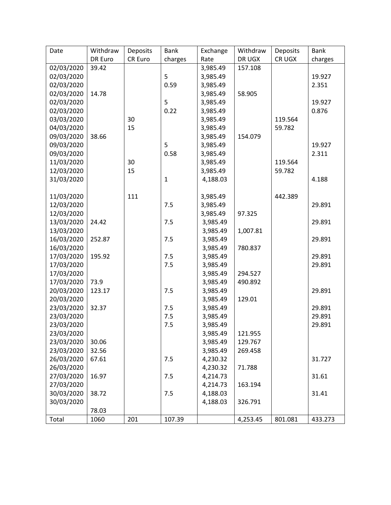| Date       | Withdraw | Deposits | <b>Bank</b>  | Exchange | Withdraw | Deposits | <b>Bank</b> |
|------------|----------|----------|--------------|----------|----------|----------|-------------|
|            | DR Euro  | CR Euro  | charges      | Rate     | DR UGX   | CR UGX   | charges     |
| 02/03/2020 | 39.42    |          |              | 3,985.49 | 157.108  |          |             |
| 02/03/2020 |          |          | 5            | 3,985.49 |          |          | 19.927      |
| 02/03/2020 |          |          | 0.59         | 3,985.49 |          |          | 2.351       |
| 02/03/2020 | 14.78    |          |              | 3,985.49 | 58.905   |          |             |
| 02/03/2020 |          |          | 5            | 3,985.49 |          |          | 19.927      |
| 02/03/2020 |          |          | 0.22         | 3,985.49 |          |          | 0.876       |
| 03/03/2020 |          | 30       |              | 3,985.49 |          | 119.564  |             |
| 04/03/2020 |          | 15       |              | 3,985.49 |          | 59.782   |             |
| 09/03/2020 | 38.66    |          |              | 3,985.49 | 154.079  |          |             |
| 09/03/2020 |          |          | 5            | 3,985.49 |          |          | 19.927      |
| 09/03/2020 |          |          | 0.58         | 3,985.49 |          |          | 2.311       |
| 11/03/2020 |          | 30       |              | 3,985.49 |          | 119.564  |             |
| 12/03/2020 |          | 15       |              | 3,985.49 |          | 59.782   |             |
| 31/03/2020 |          |          | $\mathbf{1}$ | 4,188.03 |          |          | 4.188       |
|            |          |          |              |          |          |          |             |
| 11/03/2020 |          | 111      |              | 3,985.49 |          | 442.389  |             |
| 12/03/2020 |          |          | 7.5          | 3,985.49 |          |          | 29.891      |
| 12/03/2020 |          |          |              | 3,985.49 | 97.325   |          |             |
| 13/03/2020 | 24.42    |          | 7.5          | 3,985.49 |          |          | 29.891      |
| 13/03/2020 |          |          |              | 3,985.49 | 1,007.81 |          |             |
| 16/03/2020 | 252.87   |          | 7.5          | 3,985.49 |          |          | 29.891      |
| 16/03/2020 |          |          |              | 3,985.49 | 780.837  |          |             |
| 17/03/2020 | 195.92   |          | 7.5          | 3,985.49 |          |          | 29.891      |
| 17/03/2020 |          |          | 7.5          | 3,985.49 |          |          | 29.891      |
| 17/03/2020 |          |          |              | 3,985.49 | 294.527  |          |             |
| 17/03/2020 | 73.9     |          |              | 3,985.49 | 490.892  |          |             |
| 20/03/2020 | 123.17   |          | 7.5          | 3,985.49 |          |          | 29.891      |
| 20/03/2020 |          |          |              | 3,985.49 | 129.01   |          |             |
| 23/03/2020 | 32.37    |          | 7.5          | 3,985.49 |          |          | 29.891      |
| 23/03/2020 |          |          | 7.5          | 3,985.49 |          |          | 29.891      |
| 23/03/2020 |          |          | 7.5          | 3,985.49 |          |          | 29.891      |
| 23/03/2020 |          |          |              | 3,985.49 | 121.955  |          |             |
| 23/03/2020 | 30.06    |          |              | 3,985.49 | 129.767  |          |             |
| 23/03/2020 | 32.56    |          |              | 3,985.49 | 269.458  |          |             |
| 26/03/2020 | 67.61    |          | 7.5          | 4,230.32 |          |          | 31.727      |
| 26/03/2020 |          |          |              | 4,230.32 | 71.788   |          |             |
| 27/03/2020 | 16.97    |          | 7.5          | 4,214.73 |          |          | 31.61       |
| 27/03/2020 |          |          |              | 4,214.73 | 163.194  |          |             |
| 30/03/2020 | 38.72    |          | 7.5          | 4,188.03 |          |          | 31.41       |
| 30/03/2020 |          |          |              | 4,188.03 | 326.791  |          |             |
|            | 78.03    |          |              |          |          |          |             |
| Total      | 1060     | 201      | 107.39       |          | 4,253.45 | 801.081  | 433.273     |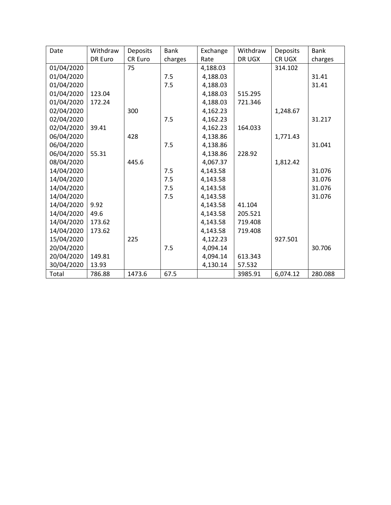| Date       | Withdraw | <b>Deposits</b> | <b>Bank</b> | Exchange | Withdraw | <b>Deposits</b> | <b>Bank</b> |
|------------|----------|-----------------|-------------|----------|----------|-----------------|-------------|
|            | DR Euro  | <b>CR Euro</b>  | charges     | Rate     | DR UGX   | CR UGX          | charges     |
| 01/04/2020 |          | 75              |             | 4,188.03 |          | 314.102         |             |
| 01/04/2020 |          |                 | 7.5         | 4,188.03 |          |                 | 31.41       |
| 01/04/2020 |          |                 | 7.5         | 4,188.03 |          |                 | 31.41       |
| 01/04/2020 | 123.04   |                 |             | 4,188.03 | 515.295  |                 |             |
| 01/04/2020 | 172.24   |                 |             | 4,188.03 | 721.346  |                 |             |
| 02/04/2020 |          | 300             |             | 4,162.23 |          | 1,248.67        |             |
| 02/04/2020 |          |                 | 7.5         | 4,162.23 |          |                 | 31.217      |
| 02/04/2020 | 39.41    |                 |             | 4,162.23 | 164.033  |                 |             |
| 06/04/2020 |          | 428             |             | 4,138.86 |          | 1,771.43        |             |
| 06/04/2020 |          |                 | 7.5         | 4,138.86 |          |                 | 31.041      |
| 06/04/2020 | 55.31    |                 |             | 4,138.86 | 228.92   |                 |             |
| 08/04/2020 |          | 445.6           |             | 4,067.37 |          | 1,812.42        |             |
| 14/04/2020 |          |                 | 7.5         | 4,143.58 |          |                 | 31.076      |
| 14/04/2020 |          |                 | 7.5         | 4,143.58 |          |                 | 31.076      |
| 14/04/2020 |          |                 | 7.5         | 4,143.58 |          |                 | 31.076      |
| 14/04/2020 |          |                 | 7.5         | 4,143.58 |          |                 | 31.076      |
| 14/04/2020 | 9.92     |                 |             | 4,143.58 | 41.104   |                 |             |
| 14/04/2020 | 49.6     |                 |             | 4,143.58 | 205.521  |                 |             |
| 14/04/2020 | 173.62   |                 |             | 4,143.58 | 719.408  |                 |             |
| 14/04/2020 | 173.62   |                 |             | 4,143.58 | 719.408  |                 |             |
| 15/04/2020 |          | 225             |             | 4,122.23 |          | 927.501         |             |
| 20/04/2020 |          |                 | 7.5         | 4,094.14 |          |                 | 30.706      |
| 20/04/2020 | 149.81   |                 |             | 4,094.14 | 613.343  |                 |             |
| 30/04/2020 | 13.93    |                 |             | 4,130.14 | 57.532   |                 |             |
| Total      | 786.88   | 1473.6          | 67.5        |          | 3985.91  | 6,074.12        | 280.088     |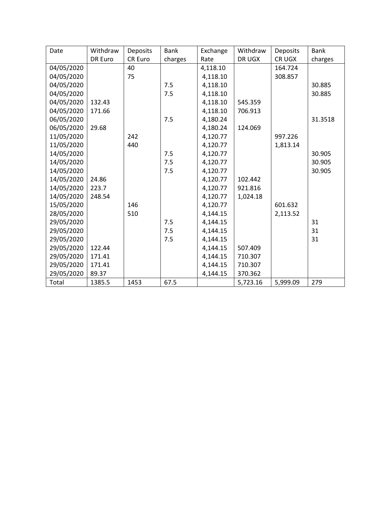| Date       | Withdraw | Deposits       | <b>Bank</b> | Exchange | Withdraw | Deposits | <b>Bank</b> |
|------------|----------|----------------|-------------|----------|----------|----------|-------------|
|            | DR Euro  | <b>CR Euro</b> | charges     | Rate     | DR UGX   | CR UGX   | charges     |
| 04/05/2020 |          | 40             |             | 4,118.10 |          | 164.724  |             |
| 04/05/2020 |          | 75             |             | 4,118.10 |          | 308.857  |             |
| 04/05/2020 |          |                | 7.5         | 4,118.10 |          |          | 30.885      |
| 04/05/2020 |          |                | 7.5         | 4,118.10 |          |          | 30.885      |
| 04/05/2020 | 132.43   |                |             | 4,118.10 | 545.359  |          |             |
| 04/05/2020 | 171.66   |                |             | 4,118.10 | 706.913  |          |             |
| 06/05/2020 |          |                | 7.5         | 4,180.24 |          |          | 31.3518     |
| 06/05/2020 | 29.68    |                |             | 4,180.24 | 124.069  |          |             |
| 11/05/2020 |          | 242            |             | 4,120.77 |          | 997.226  |             |
| 11/05/2020 |          | 440            |             | 4,120.77 |          | 1,813.14 |             |
| 14/05/2020 |          |                | 7.5         | 4,120.77 |          |          | 30.905      |
| 14/05/2020 |          |                | 7.5         | 4,120.77 |          |          | 30.905      |
| 14/05/2020 |          |                | 7.5         | 4,120.77 |          |          | 30.905      |
| 14/05/2020 | 24.86    |                |             | 4,120.77 | 102.442  |          |             |
| 14/05/2020 | 223.7    |                |             | 4,120.77 | 921.816  |          |             |
| 14/05/2020 | 248.54   |                |             | 4,120.77 | 1,024.18 |          |             |
| 15/05/2020 |          | 146            |             | 4,120.77 |          | 601.632  |             |
| 28/05/2020 |          | 510            |             | 4,144.15 |          | 2,113.52 |             |
| 29/05/2020 |          |                | 7.5         | 4,144.15 |          |          | 31          |
| 29/05/2020 |          |                | 7.5         | 4,144.15 |          |          | 31          |
| 29/05/2020 |          |                | 7.5         | 4,144.15 |          |          | 31          |
| 29/05/2020 | 122.44   |                |             | 4,144.15 | 507.409  |          |             |
| 29/05/2020 | 171.41   |                |             | 4,144.15 | 710.307  |          |             |
| 29/05/2020 | 171.41   |                |             | 4,144.15 | 710.307  |          |             |
| 29/05/2020 | 89.37    |                |             | 4,144.15 | 370.362  |          |             |
| Total      | 1385.5   | 1453           | 67.5        |          | 5,723.16 | 5,999.09 | 279         |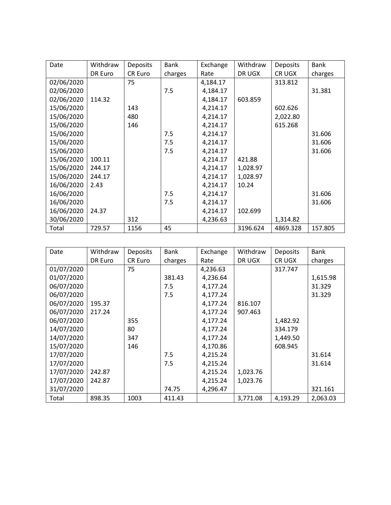| Date       | Withdraw | <b>Deposits</b> | <b>Bank</b> | Exchange | Withdraw | <b>Deposits</b> | <b>Bank</b> |
|------------|----------|-----------------|-------------|----------|----------|-----------------|-------------|
|            | DR Euro  | CR Euro         | charges     | Rate     | DR UGX   | CR UGX          | charges     |
| 02/06/2020 |          | 75              |             | 4,184.17 |          | 313.812         |             |
| 02/06/2020 |          |                 | 7.5         | 4,184.17 |          |                 | 31.381      |
| 02/06/2020 | 114.32   |                 |             | 4,184.17 | 603.859  |                 |             |
| 15/06/2020 |          | 143             |             | 4,214.17 |          | 602.626         |             |
| 15/06/2020 |          | 480             |             | 4,214.17 |          | 2,022.80        |             |
| 15/06/2020 |          | 146             |             | 4,214.17 |          | 615.268         |             |
| 15/06/2020 |          |                 | 7.5         | 4,214.17 |          |                 | 31.606      |
| 15/06/2020 |          |                 | 7.5         | 4,214.17 |          |                 | 31.606      |
| 15/06/2020 |          |                 | 7.5         | 4,214.17 |          |                 | 31.606      |
| 15/06/2020 | 100.11   |                 |             | 4,214.17 | 421.88   |                 |             |
| 15/06/2020 | 244.17   |                 |             | 4,214.17 | 1,028.97 |                 |             |
| 15/06/2020 | 244.17   |                 |             | 4,214.17 | 1,028.97 |                 |             |
| 16/06/2020 | 2.43     |                 |             | 4,214.17 | 10.24    |                 |             |
| 16/06/2020 |          |                 | 7.5         | 4,214.17 |          |                 | 31.606      |
| 16/06/2020 |          |                 | 7.5         | 4,214.17 |          |                 | 31.606      |
| 16/06/2020 | 24.37    |                 |             | 4,214.17 | 102.699  |                 |             |
| 30/06/2020 |          | 312             |             | 4,236.63 |          | 1,314.82        |             |
| Total      | 729.57   | 1156            | 45          |          | 3196.624 | 4869.328        | 157.805     |

| Date       | Withdraw | <b>Deposits</b> | Bank    | Exchange | Withdraw | Deposits | <b>Bank</b> |
|------------|----------|-----------------|---------|----------|----------|----------|-------------|
|            | DR Euro  | CR Euro         | charges | Rate     | DR UGX   | CR UGX   | charges     |
| 01/07/2020 |          | 75              |         | 4,236.63 |          | 317.747  |             |
| 01/07/2020 |          |                 | 381.43  | 4,236.64 |          |          | 1,615.98    |
| 06/07/2020 |          |                 | 7.5     | 4,177.24 |          |          | 31.329      |
| 06/07/2020 |          |                 | 7.5     | 4,177.24 |          |          | 31.329      |
| 06/07/2020 | 195.37   |                 |         | 4,177.24 | 816.107  |          |             |
| 06/07/2020 | 217.24   |                 |         | 4,177.24 | 907.463  |          |             |
| 06/07/2020 |          | 355             |         | 4,177.24 |          | 1,482.92 |             |
| 14/07/2020 |          | 80              |         | 4,177.24 |          | 334.179  |             |
| 14/07/2020 |          | 347             |         | 4,177.24 |          | 1,449.50 |             |
| 15/07/2020 |          | 146             |         | 4,170.86 |          | 608.945  |             |
| 17/07/2020 |          |                 | 7.5     | 4,215.24 |          |          | 31.614      |
| 17/07/2020 |          |                 | 7.5     | 4,215.24 |          |          | 31.614      |
| 17/07/2020 | 242.87   |                 |         | 4,215.24 | 1,023.76 |          |             |
| 17/07/2020 | 242.87   |                 |         | 4,215.24 | 1,023.76 |          |             |
| 31/07/2020 |          |                 | 74.75   | 4,296.47 |          |          | 321.161     |
| Total      | 898.35   | 1003            | 411.43  |          | 3,771.08 | 4,193.29 | 2,063.03    |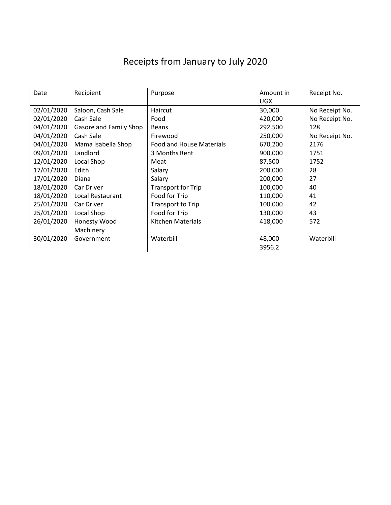## Receipts from January to July 2020

| Date       | Recipient              | Purpose                         | Amount in  | Receipt No.    |
|------------|------------------------|---------------------------------|------------|----------------|
|            |                        |                                 | <b>UGX</b> |                |
| 02/01/2020 | Saloon, Cash Sale      | Haircut                         | 30,000     | No Receipt No. |
| 02/01/2020 | Cash Sale              | Food                            | 420,000    | No Receipt No. |
| 04/01/2020 | Gasore and Family Shop | <b>Beans</b>                    | 292,500    | 128            |
| 04/01/2020 | Cash Sale              | Firewood                        | 250,000    | No Receipt No. |
| 04/01/2020 | Mama Isabella Shop     | <b>Food and House Materials</b> | 670,200    | 2176           |
| 09/01/2020 | Landlord               | 3 Months Rent                   | 900,000    | 1751           |
| 12/01/2020 | Local Shop             | Meat                            | 87,500     | 1752           |
| 17/01/2020 | Edith                  | Salary                          | 200,000    | 28             |
| 17/01/2020 | Diana                  | Salary                          | 200,000    | 27             |
| 18/01/2020 | Car Driver             | <b>Transport for Trip</b>       | 100,000    | 40             |
| 18/01/2020 | Local Restaurant       | Food for Trip                   | 110,000    | 41             |
| 25/01/2020 | Car Driver             | Transport to Trip               | 100,000    | 42             |
| 25/01/2020 | Local Shop             | Food for Trip                   | 130,000    | 43             |
| 26/01/2020 | Honesty Wood           | Kitchen Materials               | 418,000    | 572            |
|            | Machinery              |                                 |            |                |
| 30/01/2020 | Government             | Waterbill                       | 48,000     | Waterbill      |
|            |                        |                                 | 3956.2     |                |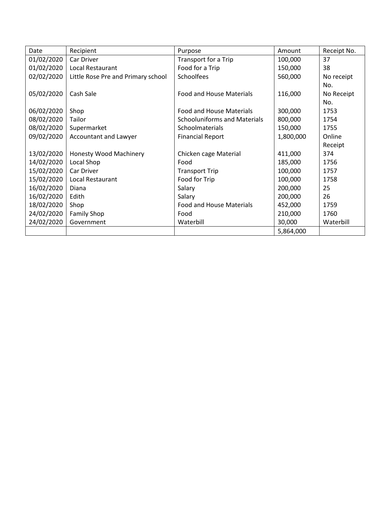| Date       | Recipient                          | Purpose                             | Amount    | Receipt No. |
|------------|------------------------------------|-------------------------------------|-----------|-------------|
| 01/02/2020 | Car Driver                         | Transport for a Trip                | 100,000   | 37          |
| 01/02/2020 | Local Restaurant                   | Food for a Trip                     | 150,000   | 38          |
| 02/02/2020 | Little Rose Pre and Primary school | Schoolfees                          | 560,000   | No receipt  |
|            |                                    |                                     |           | No.         |
| 05/02/2020 | Cash Sale                          | <b>Food and House Materials</b>     | 116,000   | No Receipt  |
|            |                                    |                                     |           | No.         |
| 06/02/2020 | Shop                               | <b>Food and House Materials</b>     | 300,000   | 1753        |
| 08/02/2020 | Tailor                             | <b>Schooluniforms and Materials</b> | 800,000   | 1754        |
| 08/02/2020 | Supermarket                        | Schoolmaterials                     | 150,000   | 1755        |
| 09/02/2020 | Accountant and Lawyer              | <b>Financial Report</b>             | 1,800,000 | Online      |
|            |                                    |                                     |           | Receipt     |
| 13/02/2020 | <b>Honesty Wood Machinery</b>      | Chicken cage Material               | 411,000   | 374         |
| 14/02/2020 | Local Shop                         | Food                                | 185,000   | 1756        |
| 15/02/2020 | Car Driver                         | <b>Transport Trip</b>               | 100,000   | 1757        |
| 15/02/2020 | Local Restaurant                   | Food for Trip                       | 100,000   | 1758        |
| 16/02/2020 | Diana                              | Salary                              | 200,000   | 25          |
| 16/02/2020 | Edith                              | Salary                              | 200,000   | 26          |
| 18/02/2020 | Shop                               | <b>Food and House Materials</b>     | 452,000   | 1759        |
| 24/02/2020 | <b>Family Shop</b>                 | Food                                | 210,000   | 1760        |
| 24/02/2020 | Government                         | Waterbill                           | 30,000    | Waterbill   |
|            |                                    |                                     | 5,864,000 |             |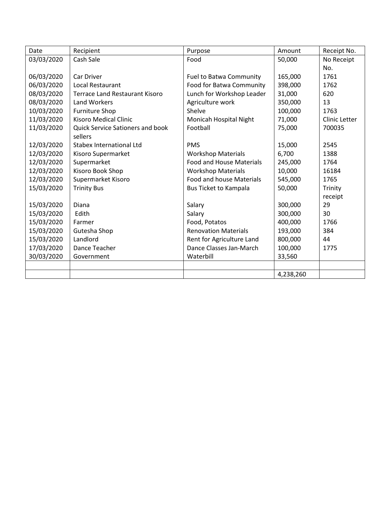| Date       | Recipient                               | Purpose                         | Amount    | Receipt No.   |
|------------|-----------------------------------------|---------------------------------|-----------|---------------|
| 03/03/2020 | Cash Sale                               | Food                            | 50,000    | No Receipt    |
|            |                                         |                                 |           | No.           |
| 06/03/2020 | Car Driver                              | <b>Fuel to Batwa Community</b>  | 165,000   | 1761          |
| 06/03/2020 | Local Restaurant                        | Food for Batwa Community        | 398,000   | 1762          |
| 08/03/2020 | <b>Terrace Land Restaurant Kisoro</b>   | Lunch for Workshop Leader       | 31,000    | 620           |
| 08/03/2020 | <b>Land Workers</b>                     | Agriculture work                | 350,000   | 13            |
| 10/03/2020 | <b>Furniture Shop</b>                   | Shelve                          | 100,000   | 1763          |
| 11/03/2020 | <b>Kisoro Medical Clinic</b>            | Monicah Hospital Night          | 71,000    | Clinic Letter |
| 11/03/2020 | <b>Quick Service Sationers and book</b> | Football                        | 75,000    | 700035        |
|            | sellers                                 |                                 |           |               |
| 12/03/2020 | <b>Stabex International Ltd</b>         | <b>PMS</b>                      | 15,000    | 2545          |
| 12/03/2020 | Kisoro Supermarket                      | <b>Workshop Materials</b>       | 6,700     | 1388          |
| 12/03/2020 | Supermarket                             | <b>Food and House Materials</b> | 245,000   | 1764          |
| 12/03/2020 | Kisoro Book Shop                        | <b>Workshop Materials</b>       | 10,000    | 16184         |
| 12/03/2020 | Supermarket Kisoro                      | <b>Food and house Materials</b> | 545,000   | 1765          |
| 15/03/2020 | <b>Trinity Bus</b>                      | Bus Ticket to Kampala           | 50,000    | Trinity       |
|            |                                         |                                 |           | receipt       |
| 15/03/2020 | Diana                                   | Salary                          | 300,000   | 29            |
| 15/03/2020 | Edith                                   | Salary                          | 300,000   | 30            |
| 15/03/2020 | Farmer                                  | Food, Potatos                   | 400,000   | 1766          |
| 15/03/2020 | Gutesha Shop                            | <b>Renovation Materials</b>     | 193,000   | 384           |
| 15/03/2020 | Landlord                                | Rent for Agriculture Land       | 800,000   | 44            |
| 17/03/2020 | Dance Teacher                           | Dance Classes Jan-March         | 100,000   | 1775          |
| 30/03/2020 | Government                              | Waterbill                       | 33,560    |               |
|            |                                         |                                 |           |               |
|            |                                         |                                 | 4,238,260 |               |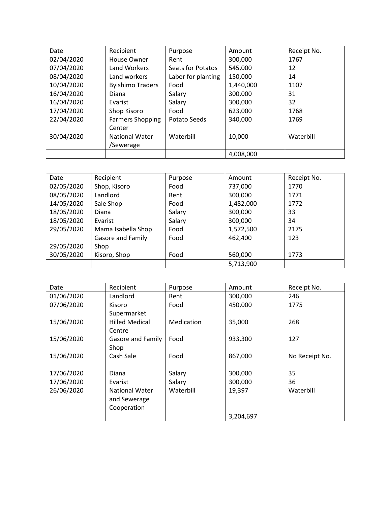| Date       | Recipient               | Purpose            | Amount    | Receipt No. |
|------------|-------------------------|--------------------|-----------|-------------|
| 02/04/2020 | House Owner             | Rent               | 300,000   | 1767        |
| 07/04/2020 | Land Workers            | Seats for Potatos  | 545,000   | 12          |
| 08/04/2020 | Land workers            | Labor for planting | 150,000   | 14          |
| 10/04/2020 | <b>Byishimo Traders</b> | Food               | 1,440,000 | 1107        |
| 16/04/2020 | Diana                   | Salary             | 300,000   | 31          |
| 16/04/2020 | Evarist                 | Salary             | 300,000   | 32          |
| 17/04/2020 | Shop Kisoro             | Food               | 623,000   | 1768        |
| 22/04/2020 | <b>Farmers Shopping</b> | Potato Seeds       | 340,000   | 1769        |
|            | Center                  |                    |           |             |
| 30/04/2020 | <b>National Water</b>   | Waterbill          | 10,000    | Waterbill   |
|            | /Sewerage               |                    |           |             |
|            |                         |                    | 4,008,000 |             |

| Date       | Recipient          | Purpose | Amount    | Receipt No. |
|------------|--------------------|---------|-----------|-------------|
| 02/05/2020 | Shop, Kisoro       | Food    | 737,000   | 1770        |
| 08/05/2020 | Landlord           | Rent    | 300,000   | 1771        |
| 14/05/2020 | Sale Shop          | Food    | 1,482,000 | 1772        |
| 18/05/2020 | Diana              | Salary  | 300,000   | 33          |
| 18/05/2020 | Evarist            | Salary  | 300,000   | 34          |
| 29/05/2020 | Mama Isabella Shop | Food    | 1,572,500 | 2175        |
|            | Gasore and Family  | Food    | 462,400   | 123         |
| 29/05/2020 | Shop               |         |           |             |
| 30/05/2020 | Kisoro, Shop       | Food    | 560,000   | 1773        |
|            |                    |         | 5,713,900 |             |

| Date       | Recipient             | Purpose    | Amount    | Receipt No.    |
|------------|-----------------------|------------|-----------|----------------|
| 01/06/2020 | Landlord              | Rent       | 300,000   | 246            |
| 07/06/2020 | Kisoro                | Food       | 450,000   | 1775           |
|            | Supermarket           |            |           |                |
| 15/06/2020 | <b>Hilled Medical</b> | Medication | 35,000    | 268            |
|            | Centre                |            |           |                |
| 15/06/2020 | Gasore and Family     | Food       | 933,300   | 127            |
|            | Shop                  |            |           |                |
| 15/06/2020 | Cash Sale             | Food       | 867,000   | No Receipt No. |
|            |                       |            |           |                |
| 17/06/2020 | Diana                 | Salary     | 300,000   | 35             |
| 17/06/2020 | Evarist               | Salary     | 300,000   | 36             |
| 26/06/2020 | <b>National Water</b> | Waterbill  | 19,397    | Waterbill      |
|            | and Sewerage          |            |           |                |
|            | Cooperation           |            |           |                |
|            |                       |            | 3,204,697 |                |